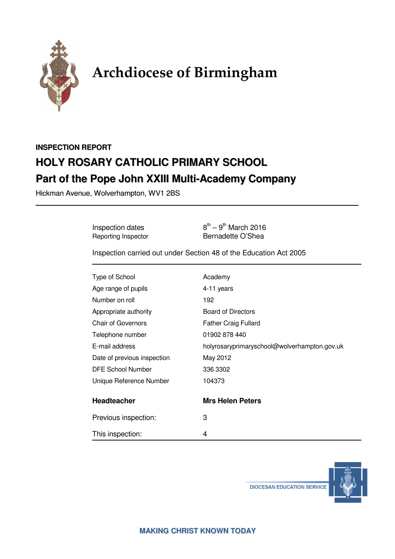

# **Archdiocese of Birmingham**

# **INSPECTION REPORT HOLY ROSARY CATHOLIC PRIMARY SCHOOL Part of the Pope John XXIII Multi-Academy Company**

Hickman Avenue, Wolverhampton, WV1 2BS

Inspection dates  $8^{th} - 9^{th}$  March 2016<br>
Reporting Inspector Bernadette O'Shea Bernadette O'Shea

Inspection carried out under Section 48 of the Education Act 2005

| Type of School              | Academy                                      |
|-----------------------------|----------------------------------------------|
| Age range of pupils         | 4-11 years                                   |
| Number on roll              | 192                                          |
| Appropriate authority       | <b>Board of Directors</b>                    |
| <b>Chair of Governors</b>   | <b>Father Craig Fullard</b>                  |
| Telephone number            | 01902 878 440                                |
| E-mail address              | holyrosaryprimaryschool@wolverhampton.gov.uk |
| Date of previous inspection | May 2012                                     |
| DFE School Number           | 336 3302                                     |
| Unique Reference Number     | 104373                                       |
| <b>Headteacher</b>          | <b>Mrs Helen Peters</b>                      |
| Previous inspection:        | 3                                            |
| This inspection:            | 4                                            |



**DIOCESAN EDUCATION SERVICE**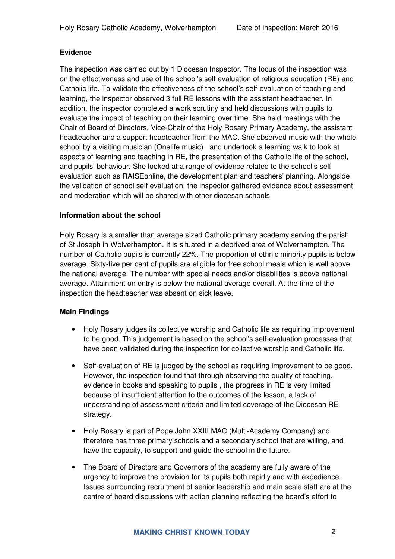# **Evidence**

The inspection was carried out by 1 Diocesan Inspector. The focus of the inspection was on the effectiveness and use of the school's self evaluation of religious education (RE) and Catholic life. To validate the effectiveness of the school's self-evaluation of teaching and learning, the inspector observed 3 full RE lessons with the assistant headteacher. In addition, the inspector completed a work scrutiny and held discussions with pupils to evaluate the impact of teaching on their learning over time. She held meetings with the Chair of Board of Directors, Vice-Chair of the Holy Rosary Primary Academy, the assistant headteacher and a support headteacher from the MAC. She observed music with the whole school by a visiting musician (Onelife music) and undertook a learning walk to look at aspects of learning and teaching in RE, the presentation of the Catholic life of the school, and pupils' behaviour. She looked at a range of evidence related to the school's self evaluation such as RAISEonline, the development plan and teachers' planning. Alongside the validation of school self evaluation, the inspector gathered evidence about assessment and moderation which will be shared with other diocesan schools.

# **Information about the school**

Holy Rosary is a smaller than average sized Catholic primary academy serving the parish of St Joseph in Wolverhampton. It is situated in a deprived area of Wolverhampton. The number of Catholic pupils is currently 22%. The proportion of ethnic minority pupils is below average. Sixty-five per cent of pupils are eligible for free school meals which is well above the national average. The number with special needs and/or disabilities is above national average. Attainment on entry is below the national average overall. At the time of the inspection the headteacher was absent on sick leave.

#### **Main Findings**

- Holy Rosary judges its collective worship and Catholic life as requiring improvement to be good. This judgement is based on the school's self-evaluation processes that have been validated during the inspection for collective worship and Catholic life.
- Self-evaluation of RE is judged by the school as requiring improvement to be good. However, the inspection found that through observing the quality of teaching, evidence in books and speaking to pupils , the progress in RE is very limited because of insufficient attention to the outcomes of the lesson, a lack of understanding of assessment criteria and limited coverage of the Diocesan RE strategy.
- Holy Rosary is part of Pope John XXIII MAC (Multi-Academy Company) and therefore has three primary schools and a secondary school that are willing, and have the capacity, to support and guide the school in the future.
- The Board of Directors and Governors of the academy are fully aware of the urgency to improve the provision for its pupils both rapidly and with expedience. Issues surrounding recruitment of senior leadership and main scale staff are at the centre of board discussions with action planning reflecting the board's effort to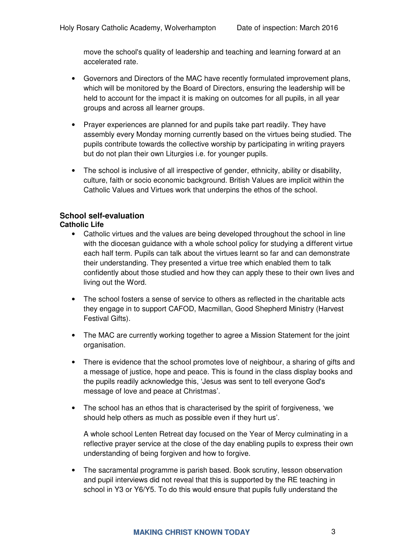move the school's quality of leadership and teaching and learning forward at an accelerated rate.

- Governors and Directors of the MAC have recently formulated improvement plans, which will be monitored by the Board of Directors, ensuring the leadership will be held to account for the impact it is making on outcomes for all pupils, in all year groups and across all learner groups.
- Prayer experiences are planned for and pupils take part readily. They have assembly every Monday morning currently based on the virtues being studied. The pupils contribute towards the collective worship by participating in writing prayers but do not plan their own Liturgies i.e. for younger pupils.
- The school is inclusive of all irrespective of gender, ethnicity, ability or disability, culture, faith or socio economic background. British Values are implicit within the Catholic Values and Virtues work that underpins the ethos of the school.

# **School self-evaluation**

# **Catholic Life**

- Catholic virtues and the values are being developed throughout the school in line with the diocesan guidance with a whole school policy for studying a different virtue each half term. Pupils can talk about the virtues learnt so far and can demonstrate their understanding. They presented a virtue tree which enabled them to talk confidently about those studied and how they can apply these to their own lives and living out the Word.
- The school fosters a sense of service to others as reflected in the charitable acts they engage in to support CAFOD, Macmillan, Good Shepherd Ministry (Harvest Festival Gifts).
- The MAC are currently working together to agree a Mission Statement for the joint organisation.
- There is evidence that the school promotes love of neighbour, a sharing of gifts and a message of justice, hope and peace. This is found in the class display books and the pupils readily acknowledge this, 'Jesus was sent to tell everyone God's message of love and peace at Christmas'.
- The school has an ethos that is characterised by the spirit of forgiveness, 'we should help others as much as possible even if they hurt us'.

A whole school Lenten Retreat day focused on the Year of Mercy culminating in a reflective prayer service at the close of the day enabling pupils to express their own understanding of being forgiven and how to forgive.

• The sacramental programme is parish based. Book scrutiny, lesson observation and pupil interviews did not reveal that this is supported by the RE teaching in school in Y3 or Y6/Y5. To do this would ensure that pupils fully understand the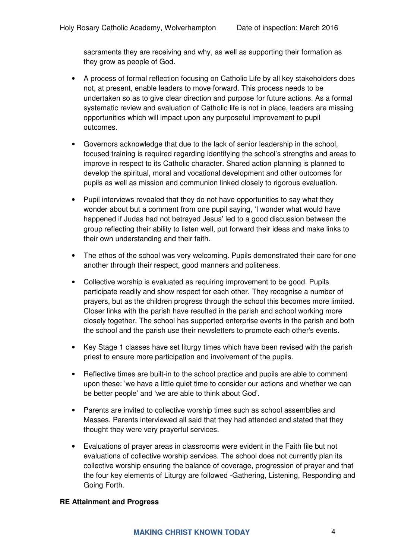sacraments they are receiving and why, as well as supporting their formation as they grow as people of God.

- A process of formal reflection focusing on Catholic Life by all key stakeholders does not, at present, enable leaders to move forward. This process needs to be undertaken so as to give clear direction and purpose for future actions. As a formal systematic review and evaluation of Catholic life is not in place, leaders are missing opportunities which will impact upon any purposeful improvement to pupil outcomes.
- Governors acknowledge that due to the lack of senior leadership in the school, focused training is required regarding identifying the school's strengths and areas to improve in respect to its Catholic character. Shared action planning is planned to develop the spiritual, moral and vocational development and other outcomes for pupils as well as mission and communion linked closely to rigorous evaluation.
- Pupil interviews revealed that they do not have opportunities to say what they wonder about but a comment from one pupil saying, 'I wonder what would have happened if Judas had not betrayed Jesus' led to a good discussion between the group reflecting their ability to listen well, put forward their ideas and make links to their own understanding and their faith.
- The ethos of the school was very welcoming. Pupils demonstrated their care for one another through their respect, good manners and politeness.
- Collective worship is evaluated as requiring improvement to be good. Pupils participate readily and show respect for each other. They recognise a number of prayers, but as the children progress through the school this becomes more limited. Closer links with the parish have resulted in the parish and school working more closely together. The school has supported enterprise events in the parish and both the school and the parish use their newsletters to promote each other's events.
- Key Stage 1 classes have set liturgy times which have been revised with the parish priest to ensure more participation and involvement of the pupils.
- Reflective times are built-in to the school practice and pupils are able to comment upon these: 'we have a little quiet time to consider our actions and whether we can be better people' and 'we are able to think about God'.
- Parents are invited to collective worship times such as school assemblies and Masses. Parents interviewed all said that they had attended and stated that they thought they were very prayerful services.
- Evaluations of prayer areas in classrooms were evident in the Faith file but not evaluations of collective worship services. The school does not currently plan its collective worship ensuring the balance of coverage, progression of prayer and that the four key elements of Liturgy are followed -Gathering, Listening, Responding and Going Forth.

# **RE Attainment and Progress**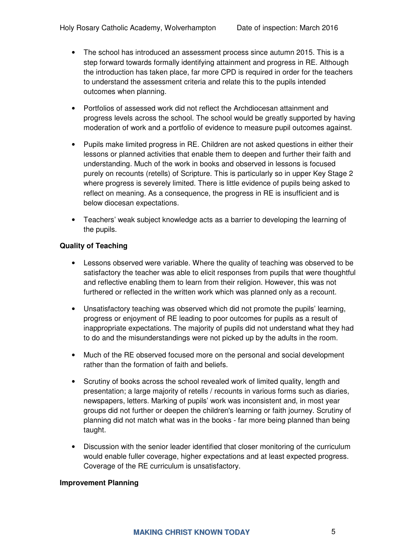- The school has introduced an assessment process since autumn 2015. This is a step forward towards formally identifying attainment and progress in RE. Although the introduction has taken place, far more CPD is required in order for the teachers to understand the assessment criteria and relate this to the pupils intended outcomes when planning.
- Portfolios of assessed work did not reflect the Archdiocesan attainment and progress levels across the school. The school would be greatly supported by having moderation of work and a portfolio of evidence to measure pupil outcomes against.
- Pupils make limited progress in RE. Children are not asked questions in either their lessons or planned activities that enable them to deepen and further their faith and understanding. Much of the work in books and observed in lessons is focused purely on recounts (retells) of Scripture. This is particularly so in upper Key Stage 2 where progress is severely limited. There is little evidence of pupils being asked to reflect on meaning. As a consequence, the progress in RE is insufficient and is below diocesan expectations.
- Teachers' weak subject knowledge acts as a barrier to developing the learning of the pupils.

# **Quality of Teaching**

- Lessons observed were variable. Where the quality of teaching was observed to be satisfactory the teacher was able to elicit responses from pupils that were thoughtful and reflective enabling them to learn from their religion. However, this was not furthered or reflected in the written work which was planned only as a recount.
- Unsatisfactory teaching was observed which did not promote the pupils' learning, progress or enjoyment of RE leading to poor outcomes for pupils as a result of inappropriate expectations. The majority of pupils did not understand what they had to do and the misunderstandings were not picked up by the adults in the room.
- Much of the RE observed focused more on the personal and social development rather than the formation of faith and beliefs.
- Scrutiny of books across the school revealed work of limited quality, length and presentation; a large majority of retells / recounts in various forms such as diaries, newspapers, letters. Marking of pupils' work was inconsistent and, in most year groups did not further or deepen the children's learning or faith journey. Scrutiny of planning did not match what was in the books - far more being planned than being taught.
- Discussion with the senior leader identified that closer monitoring of the curriculum would enable fuller coverage, higher expectations and at least expected progress. Coverage of the RE curriculum is unsatisfactory.

#### **Improvement Planning**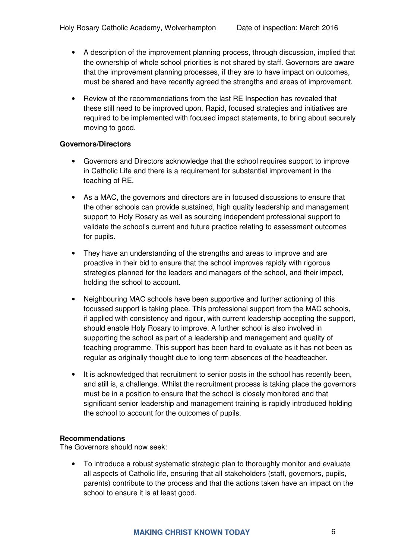- A description of the improvement planning process, through discussion, implied that the ownership of whole school priorities is not shared by staff. Governors are aware that the improvement planning processes, if they are to have impact on outcomes, must be shared and have recently agreed the strengths and areas of improvement.
- Review of the recommendations from the last RE Inspection has revealed that these still need to be improved upon. Rapid, focused strategies and initiatives are required to be implemented with focused impact statements, to bring about securely moving to good.

# **Governors/Directors**

- Governors and Directors acknowledge that the school requires support to improve in Catholic Life and there is a requirement for substantial improvement in the teaching of RE.
- As a MAC, the governors and directors are in focused discussions to ensure that the other schools can provide sustained, high quality leadership and management support to Holy Rosary as well as sourcing independent professional support to validate the school's current and future practice relating to assessment outcomes for pupils.
- They have an understanding of the strengths and areas to improve and are proactive in their bid to ensure that the school improves rapidly with rigorous strategies planned for the leaders and managers of the school, and their impact, holding the school to account.
- Neighbouring MAC schools have been supportive and further actioning of this focussed support is taking place. This professional support from the MAC schools, if applied with consistency and rigour, with current leadership accepting the support, should enable Holy Rosary to improve. A further school is also involved in supporting the school as part of a leadership and management and quality of teaching programme. This support has been hard to evaluate as it has not been as regular as originally thought due to long term absences of the headteacher.
- It is acknowledged that recruitment to senior posts in the school has recently been, and still is, a challenge. Whilst the recruitment process is taking place the governors must be in a position to ensure that the school is closely monitored and that significant senior leadership and management training is rapidly introduced holding the school to account for the outcomes of pupils.

# **Recommendations**

The Governors should now seek:

• To introduce a robust systematic strategic plan to thoroughly monitor and evaluate all aspects of Catholic life, ensuring that all stakeholders (staff, governors, pupils, parents) contribute to the process and that the actions taken have an impact on the school to ensure it is at least good.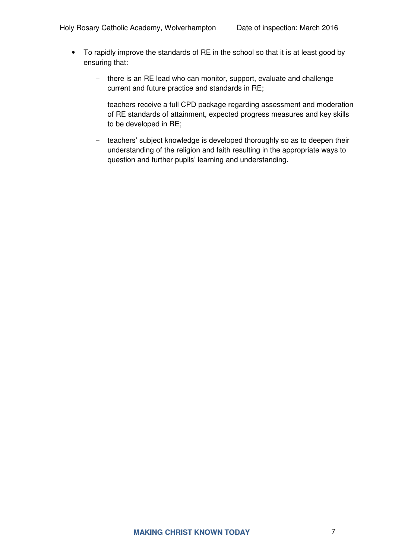- To rapidly improve the standards of RE in the school so that it is at least good by ensuring that:
	- there is an RE lead who can monitor, support, evaluate and challenge current and future practice and standards in RE;
	- teachers receive a full CPD package regarding assessment and moderation of RE standards of attainment, expected progress measures and key skills to be developed in RE;
	- teachers' subject knowledge is developed thoroughly so as to deepen their understanding of the religion and faith resulting in the appropriate ways to question and further pupils' learning and understanding.